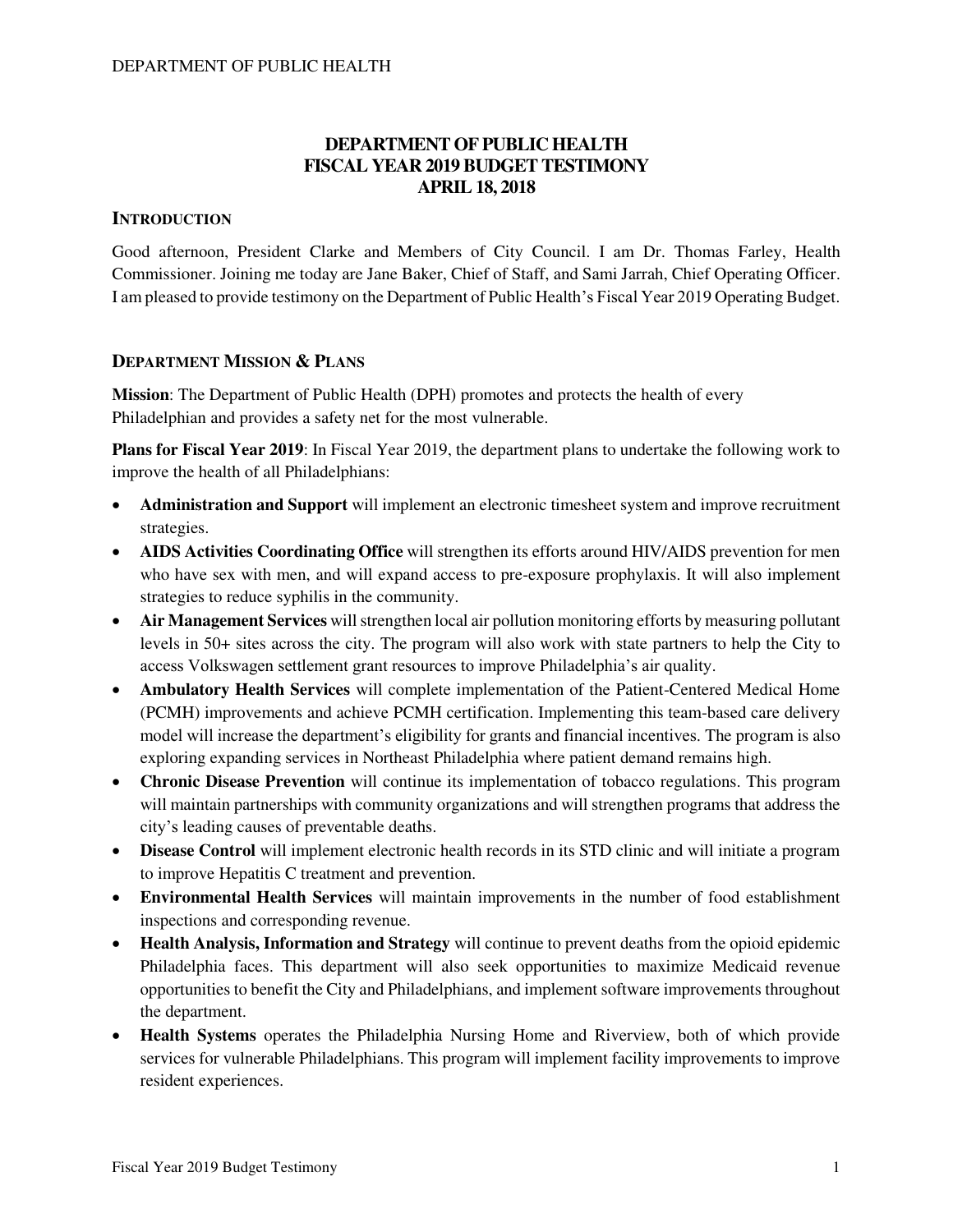# **DEPARTMENT OF PUBLIC HEALTH FISCAL YEAR 2019 BUDGET TESTIMONY APRIL 18, 2018**

## **INTRODUCTION**

Good afternoon, President Clarke and Members of City Council. I am Dr. Thomas Farley, Health Commissioner. Joining me today are Jane Baker, Chief of Staff, and Sami Jarrah, Chief Operating Officer. I am pleased to provide testimony on the Department of Public Health's Fiscal Year 2019 Operating Budget.

# **DEPARTMENT MISSION & PLANS**

**Mission**: The Department of Public Health (DPH) promotes and protects the health of every Philadelphian and provides a safety net for the most vulnerable.

**Plans for Fiscal Year 2019**: In Fiscal Year 2019, the department plans to undertake the following work to improve the health of all Philadelphians:

- **Administration and Support** will implement an electronic timesheet system and improve recruitment strategies.
- **AIDS Activities Coordinating Office** will strengthen its efforts around HIV/AIDS prevention for men who have sex with men, and will expand access to pre-exposure prophylaxis. It will also implement strategies to reduce syphilis in the community.
- **Air Management Services** will strengthen local air pollution monitoring efforts by measuring pollutant levels in 50+ sites across the city. The program will also work with state partners to help the City to access Volkswagen settlement grant resources to improve Philadelphia's air quality.
- **Ambulatory Health Services** will complete implementation of the Patient-Centered Medical Home (PCMH) improvements and achieve PCMH certification. Implementing this team-based care delivery model will increase the department's eligibility for grants and financial incentives. The program is also exploring expanding services in Northeast Philadelphia where patient demand remains high.
- **Chronic Disease Prevention** will continue its implementation of tobacco regulations. This program will maintain partnerships with community organizations and will strengthen programs that address the city's leading causes of preventable deaths.
- **Disease Control** will implement electronic health records in its STD clinic and will initiate a program to improve Hepatitis C treatment and prevention.
- **Environmental Health Services** will maintain improvements in the number of food establishment inspections and corresponding revenue.
- **Health Analysis, Information and Strategy** will continue to prevent deaths from the opioid epidemic Philadelphia faces. This department will also seek opportunities to maximize Medicaid revenue opportunities to benefit the City and Philadelphians, and implement software improvements throughout the department.
- **Health Systems** operates the Philadelphia Nursing Home and Riverview, both of which provide services for vulnerable Philadelphians. This program will implement facility improvements to improve resident experiences.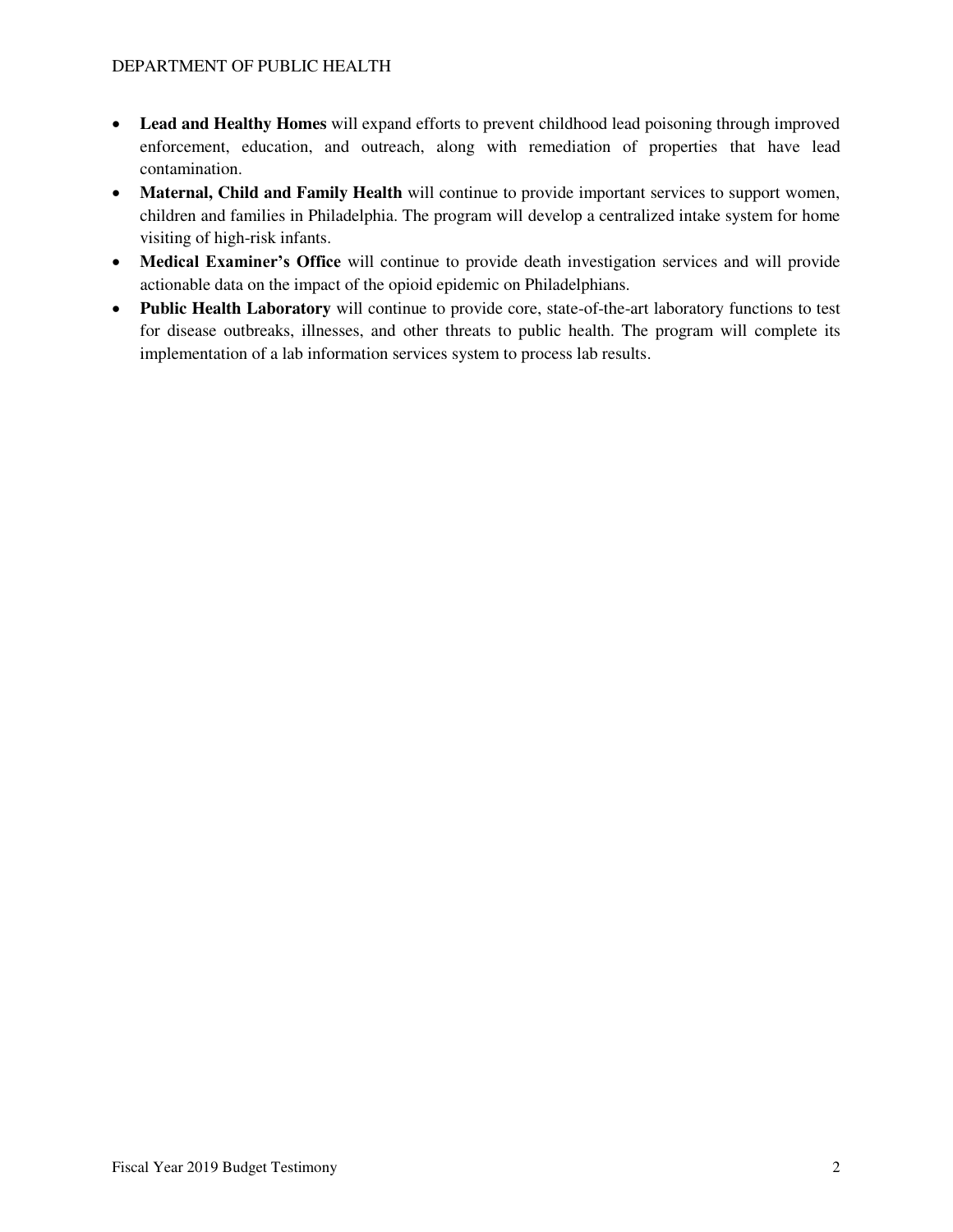- **Lead and Healthy Homes** will expand efforts to prevent childhood lead poisoning through improved enforcement, education, and outreach, along with remediation of properties that have lead contamination.
- **Maternal, Child and Family Health** will continue to provide important services to support women, children and families in Philadelphia. The program will develop a centralized intake system for home visiting of high-risk infants.
- **Medical Examiner's Office** will continue to provide death investigation services and will provide actionable data on the impact of the opioid epidemic on Philadelphians.
- **Public Health Laboratory** will continue to provide core, state-of-the-art laboratory functions to test for disease outbreaks, illnesses, and other threats to public health. The program will complete its implementation of a lab information services system to process lab results.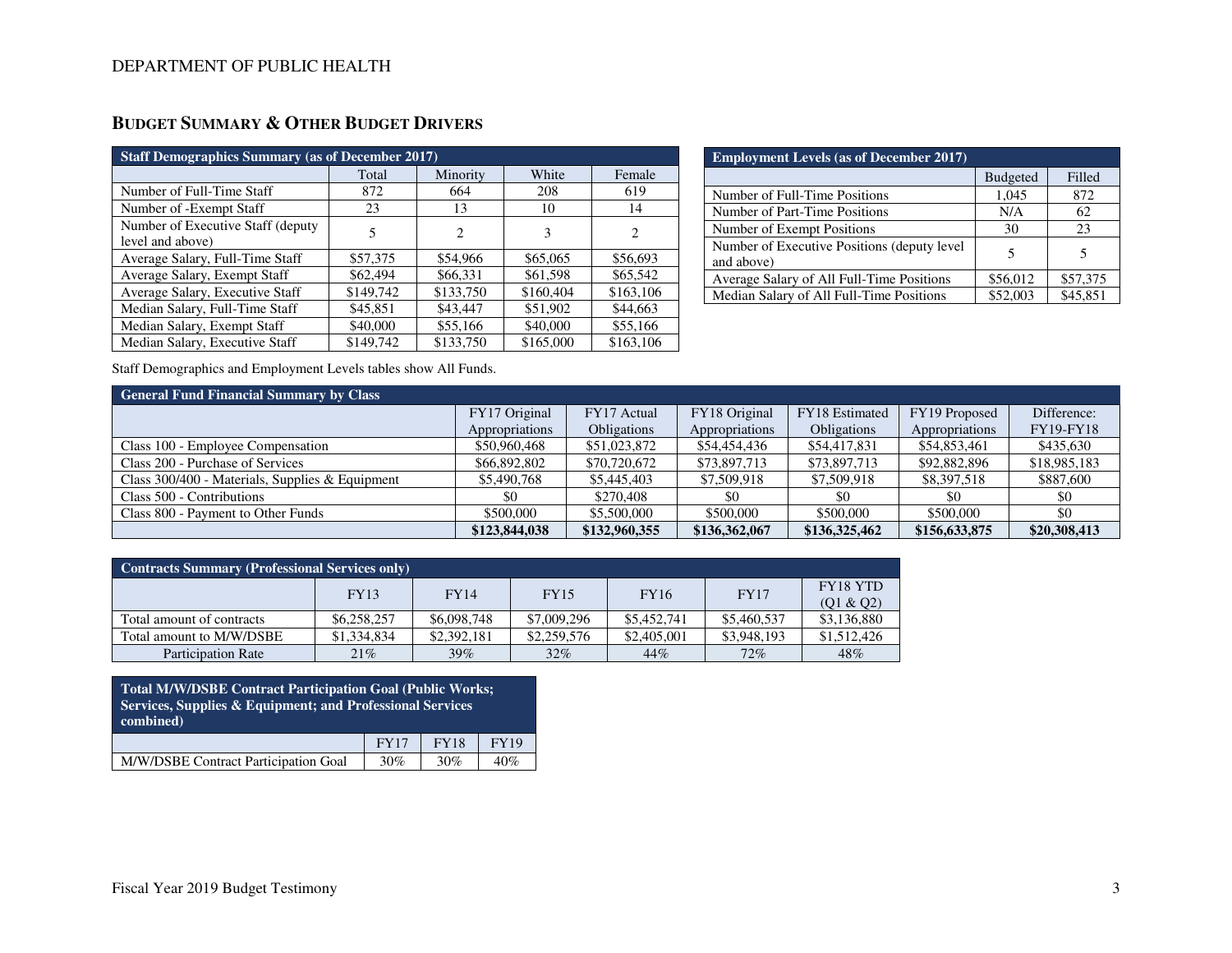| <b>Staff Demographics Summary (as of December 2017)</b> |           |           |           |                             |  |  |
|---------------------------------------------------------|-----------|-----------|-----------|-----------------------------|--|--|
|                                                         | Total     | Minority  | White     | Female                      |  |  |
| Number of Full-Time Staff                               | 872       | 664       | 208       | 619                         |  |  |
| Number of -Exempt Staff                                 | 23        | 13        | 10        | 14                          |  |  |
| Number of Executive Staff (deputy)                      | 5         | 2         | 3         | $\mathcal{D}_{\mathcal{L}}$ |  |  |
| level and above)                                        |           |           |           |                             |  |  |
| Average Salary, Full-Time Staff                         | \$57,375  | \$54,966  | \$65,065  | \$56,693                    |  |  |
| Average Salary, Exempt Staff                            | \$62,494  | \$66,331  | \$61,598  | \$65,542                    |  |  |
| Average Salary, Executive Staff                         | \$149,742 | \$133,750 | \$160,404 | \$163,106                   |  |  |
| Median Salary, Full-Time Staff                          | \$45,851  | \$43,447  | \$51,902  | \$44,663                    |  |  |
| Median Salary, Exempt Staff                             | \$40,000  | \$55,166  | \$40,000  | \$55,166                    |  |  |
| Median Salary, Executive Staff                          | \$149,742 | \$133,750 | \$165,000 | \$163,106                   |  |  |

| <b>Employment Levels (as of December 2017)</b>             |                 |          |  |  |  |
|------------------------------------------------------------|-----------------|----------|--|--|--|
|                                                            | <b>Budgeted</b> | Filled   |  |  |  |
| Number of Full-Time Positions                              | 1,045           | 872      |  |  |  |
| Number of Part-Time Positions                              | N/A             | 62       |  |  |  |
| Number of Exempt Positions                                 | 30              | 23       |  |  |  |
| Number of Executive Positions (deputy level)<br>and above) |                 | 5        |  |  |  |
| Average Salary of All Full-Time Positions                  | \$56,012        | \$57,375 |  |  |  |
| Median Salary of All Full-Time Positions                   | \$52,003        | \$45,851 |  |  |  |

Staff Demographics and Employment Levels tables show All Funds.

| <b>General Fund Financial Summary by Class</b>  |                |                    |                |                    |                |                  |  |  |  |
|-------------------------------------------------|----------------|--------------------|----------------|--------------------|----------------|------------------|--|--|--|
|                                                 | FY17 Original  | FY17 Actual        | FY18 Original  | FY18 Estimated     | FY19 Proposed  | Difference:      |  |  |  |
|                                                 | Appropriations | <b>Obligations</b> | Appropriations | <b>Obligations</b> | Appropriations | <b>FY19-FY18</b> |  |  |  |
| Class 100 - Employee Compensation               | \$50,960,468   | \$51,023,872       | \$54,454,436   | \$54,417,831       | \$54,853,461   | \$435,630        |  |  |  |
| Class 200 - Purchase of Services                | \$66,892,802   | \$70,720,672       | \$73,897,713   | \$73,897,713       | \$92,882,896   | \$18,985,183     |  |  |  |
| Class 300/400 - Materials, Supplies & Equipment | \$5,490,768    | \$5,445,403        | \$7,509,918    | \$7,509,918        | \$8,397,518    | \$887,600        |  |  |  |
| Class 500 - Contributions                       | \$0            | \$270,408          | \$0            | \$0                | \$0            | \$0              |  |  |  |
| Class 800 - Payment to Other Funds              | \$500,000      | \$5,500,000        | \$500,000      | \$500,000          | \$500,000      | \$0              |  |  |  |
|                                                 | \$123,844,038  | \$132,960,355      | \$136,362,067  | \$136,325,462      | \$156,633,875  | \$20,308,413     |  |  |  |

| <b>Contracts Summary (Professional Services only)</b> |             |             |             |             |             |                 |  |  |
|-------------------------------------------------------|-------------|-------------|-------------|-------------|-------------|-----------------|--|--|
|                                                       | <b>FY13</b> | <b>FY14</b> | <b>FY15</b> | <b>FY16</b> | <b>FY17</b> | <b>FY18 YTD</b> |  |  |
|                                                       |             |             |             |             |             | (Q1 & Q2)       |  |  |
| Total amount of contracts                             | \$6,258,257 | \$6,098,748 | \$7,009,296 | \$5,452,741 | \$5,460,537 | \$3,136,880     |  |  |
| Total amount to M/W/DSBE                              | \$1,334,834 | \$2,392,181 | \$2,259,576 | \$2,405,001 | \$3,948,193 | \$1,512,426     |  |  |
| Participation Rate                                    | 21%         | 39%         | 32%         | 44%         | 72%         | 48%             |  |  |

| <b>Total M/W/DSBE Contract Participation Goal (Public Works;</b><br>Services, Supplies & Equipment; and Professional Services<br>combined) |             |             |             |  |  |
|--------------------------------------------------------------------------------------------------------------------------------------------|-------------|-------------|-------------|--|--|
|                                                                                                                                            | <b>FY17</b> | <b>FY18</b> | <b>FY19</b> |  |  |
| M/W/DSBE Contract Participation Goal                                                                                                       | 30%         | 30%         | 40%         |  |  |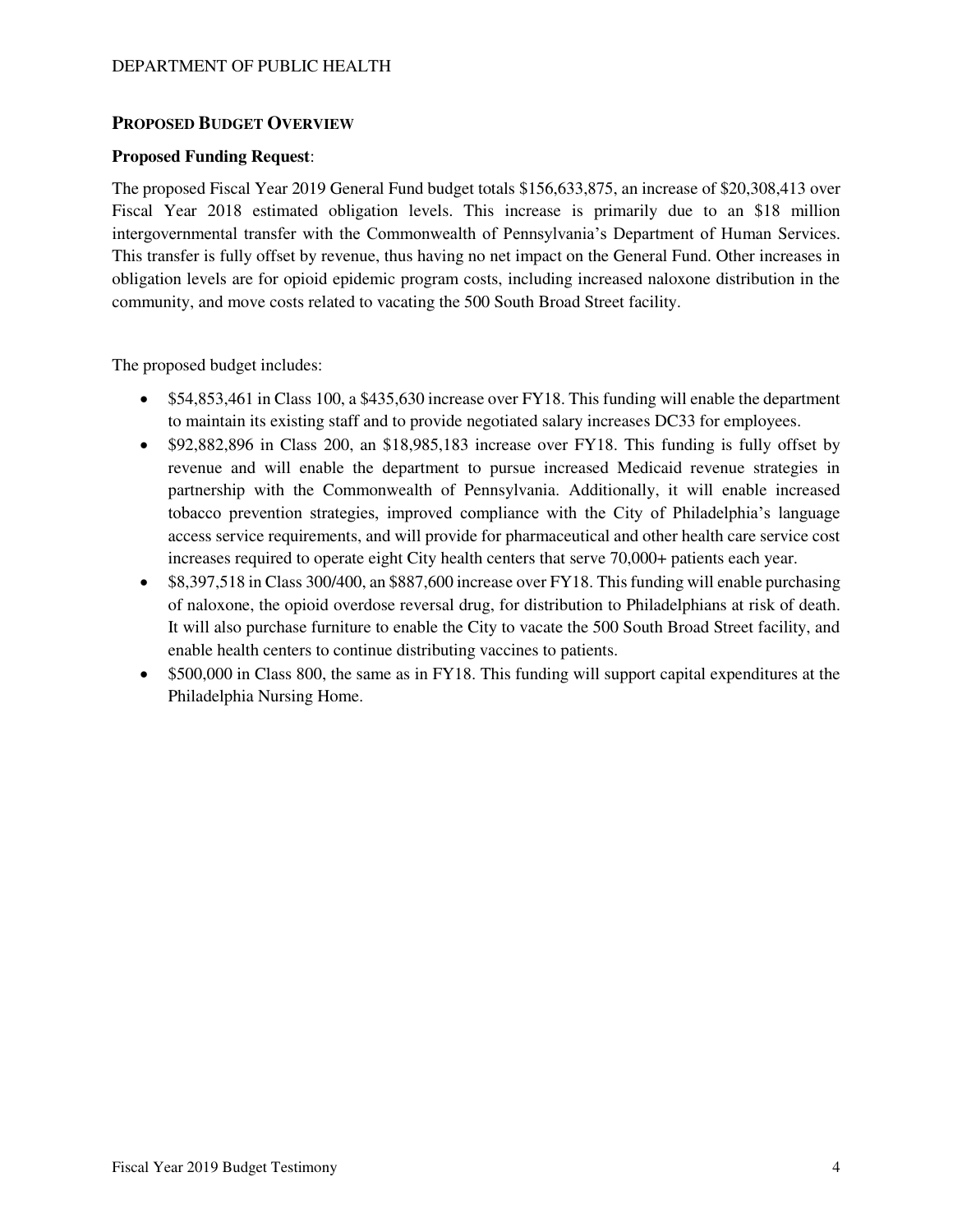### **PROPOSED BUDGET OVERVIEW**

#### **Proposed Funding Request**:

The proposed Fiscal Year 2019 General Fund budget totals \$156,633,875, an increase of \$20,308,413 over Fiscal Year 2018 estimated obligation levels. This increase is primarily due to an \$18 million intergovernmental transfer with the Commonwealth of Pennsylvania's Department of Human Services. This transfer is fully offset by revenue, thus having no net impact on the General Fund. Other increases in obligation levels are for opioid epidemic program costs, including increased naloxone distribution in the community, and move costs related to vacating the 500 South Broad Street facility.

The proposed budget includes:

- \$54,853,461 in Class 100, a \$435,630 increase over FY18. This funding will enable the department to maintain its existing staff and to provide negotiated salary increases DC33 for employees.
- \$92,882,896 in Class 200, an \$18,985,183 increase over FY18. This funding is fully offset by revenue and will enable the department to pursue increased Medicaid revenue strategies in partnership with the Commonwealth of Pennsylvania. Additionally, it will enable increased tobacco prevention strategies, improved compliance with the City of Philadelphia's language access service requirements, and will provide for pharmaceutical and other health care service cost increases required to operate eight City health centers that serve 70,000+ patients each year.
- \$8,397,518 in Class 300/400, an \$887,600 increase over FY18. This funding will enable purchasing of naloxone, the opioid overdose reversal drug, for distribution to Philadelphians at risk of death. It will also purchase furniture to enable the City to vacate the 500 South Broad Street facility, and enable health centers to continue distributing vaccines to patients.
- \$500,000 in Class 800, the same as in FY18. This funding will support capital expenditures at the Philadelphia Nursing Home.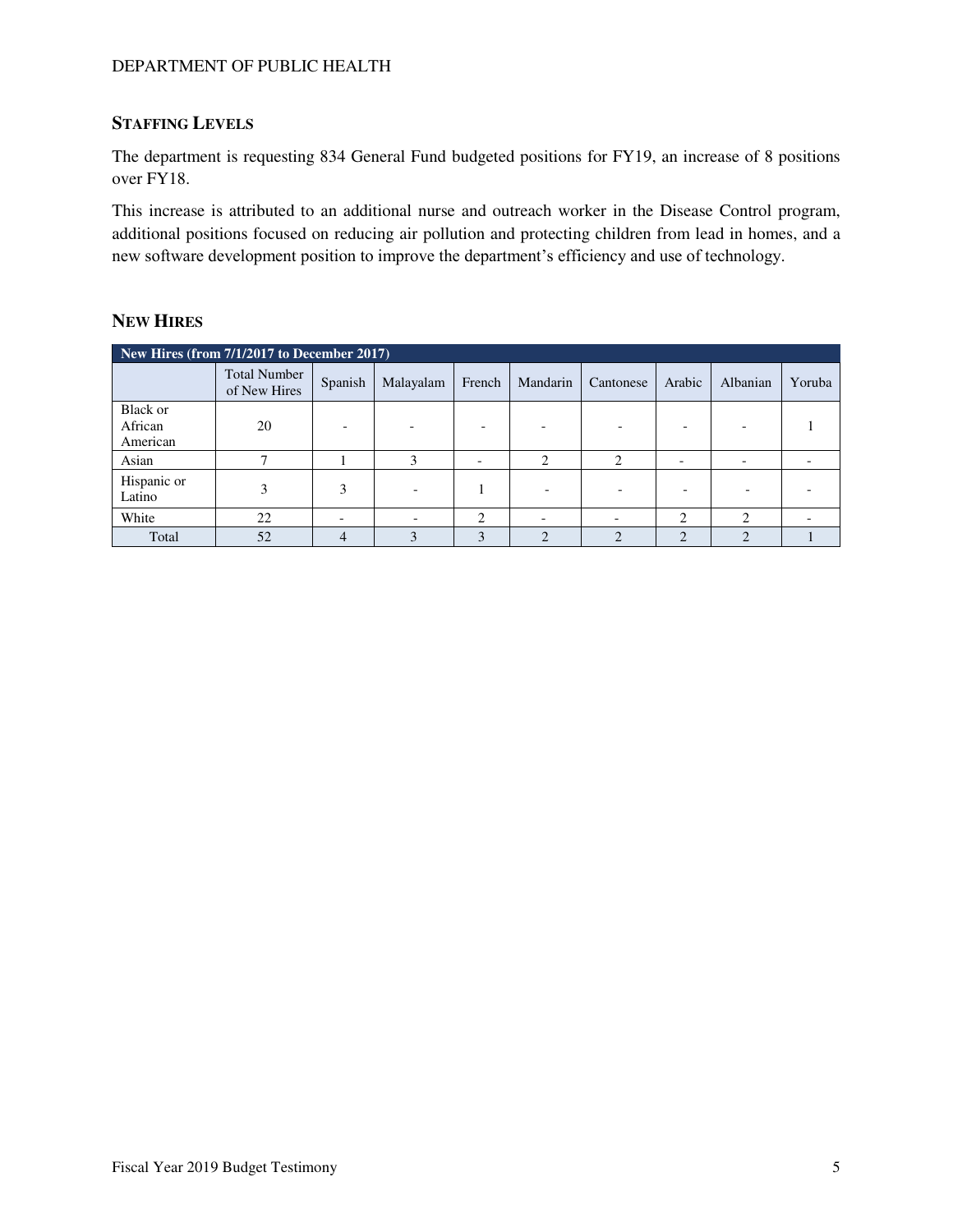# **STAFFING LEVELS**

The department is requesting 834 General Fund budgeted positions for FY19, an increase of 8 positions over FY18.

This increase is attributed to an additional nurse and outreach worker in the Disease Control program, additional positions focused on reducing air pollution and protecting children from lead in homes, and a new software development position to improve the department's efficiency and use of technology.

# **NEW HIRES**

| New Hires (from 7/1/2017 to December 2017) |                                     |                          |           |        |            |                             |            |          |                          |
|--------------------------------------------|-------------------------------------|--------------------------|-----------|--------|------------|-----------------------------|------------|----------|--------------------------|
|                                            | <b>Total Number</b><br>of New Hires | Spanish                  | Malayalam | French | Mandarin   | Cantonese                   | Arabic     | Albanian | Yoruba                   |
| Black or<br>African<br>American            | 20                                  |                          |           |        |            |                             |            |          |                          |
| Asian                                      |                                     |                          | 3         |        | $\bigcirc$ | ◠                           |            |          |                          |
| Hispanic or<br>Latino                      |                                     | 3                        |           |        |            |                             |            |          |                          |
| White                                      | 22                                  | $\overline{\phantom{0}}$ |           | 2      |            |                             | ∍          | ◠        | $\overline{\phantom{0}}$ |
| Total                                      | 52                                  |                          | 3         | 3      | ◠          | $\mathcal{D}_{\mathcal{A}}$ | $\bigcirc$ |          |                          |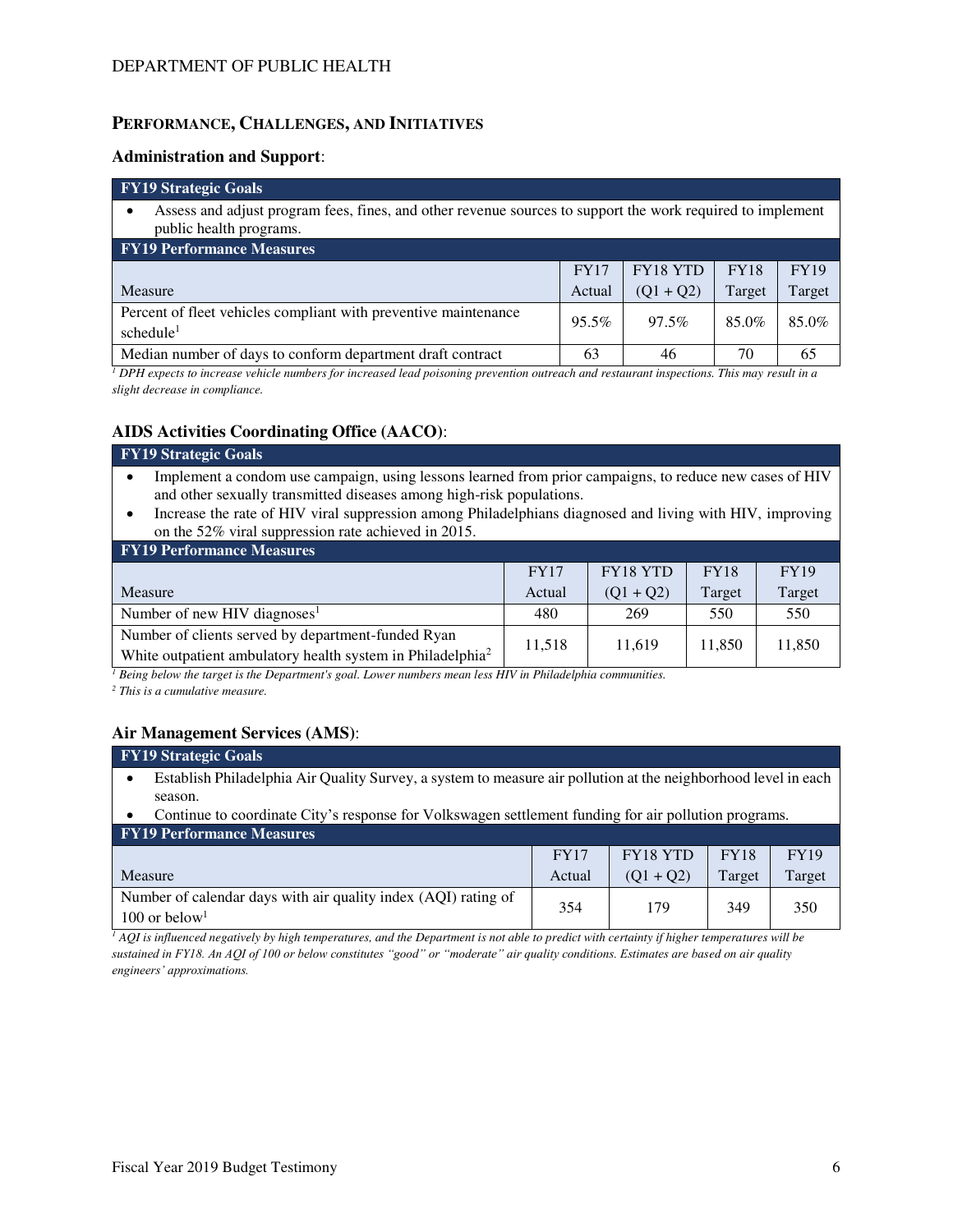### **PERFORMANCE, CHALLENGES, AND INITIATIVES**

#### **Administration and Support**:

#### **FY19 Strategic Goals**  • Assess and adjust program fees, fines, and other revenue sources to support the work required to implement public health programs. **FY19 Performance Measures**  Measure FY17 Actual FY18 YTD  $(Q1 + Q2)$ FY18 Target FY19 Target Percent of fleet vehicles compliant with preventive maintenance schedule<sup>1</sup> 95.5% 97.5% 85.0% 85.0% Median number of days to conform department draft contract  $\begin{array}{|c|c|c|c|c|} \hline \end{array}$  63 46 70 65

*1 DPH expects to increase vehicle numbers for increased lead poisoning prevention outreach and restaurant inspections. This may result in a slight decrease in compliance.* 

### **AIDS Activities Coordinating Office (AACO)**:

| <b>FY19 Strategic Goals</b>                                                                                                                                                                                                                                                                                                                             |             |             |             |             |  |  |  |
|---------------------------------------------------------------------------------------------------------------------------------------------------------------------------------------------------------------------------------------------------------------------------------------------------------------------------------------------------------|-------------|-------------|-------------|-------------|--|--|--|
| Implement a condom use campaign, using lessons learned from prior campaigns, to reduce new cases of HIV<br>and other sexually transmitted diseases among high-risk populations.<br>Increase the rate of HIV viral suppression among Philadelphians diagnosed and living with HIV, improving<br>٠<br>on the 52% viral suppression rate achieved in 2015. |             |             |             |             |  |  |  |
| <b>FY19 Performance Measures</b>                                                                                                                                                                                                                                                                                                                        |             |             |             |             |  |  |  |
|                                                                                                                                                                                                                                                                                                                                                         | <b>FY17</b> | FY18 YTD    | <b>FY18</b> | <b>FY19</b> |  |  |  |
| Measure                                                                                                                                                                                                                                                                                                                                                 | Actual      | $(Q1 + Q2)$ | Target      | Target      |  |  |  |
| Number of new HIV diagnoses <sup>1</sup>                                                                                                                                                                                                                                                                                                                | 480         | 269         | 550         | 550         |  |  |  |
| Number of clients served by department-funded Ryan<br>White outpatient ambulatory health system in Philadelphia <sup>2</sup>                                                                                                                                                                                                                            | 11,518      | 11,619      | 11,850      | 11,850      |  |  |  |

*1 Being below the target is the Department's goal. Lower numbers mean less HIV in Philadelphia communities.* 

*2 This is a cumulative measure.*

# **Air Management Services (AMS)**:

#### **FY19 Strategic Goals**

- Establish Philadelphia Air Quality Survey, a system to measure air pollution at the neighborhood level in each season.
- Continue to coordinate City's response for Volkswagen settlement funding for air pollution programs. **FY10 De**

| <u>El 1918 el foi mance Méasures</u>                                                          |             |             |             |             |
|-----------------------------------------------------------------------------------------------|-------------|-------------|-------------|-------------|
|                                                                                               | <b>FY17</b> | FY18 YTD    | <b>FY18</b> | <b>FY19</b> |
| Measure                                                                                       | Actual      | $(01 + 02)$ | Target      | Target      |
| Number of calendar days with air quality index (AQI) rating of<br>$100$ or below <sup>1</sup> | 354         | 179         | 349         | 350         |

<sup>1</sup> AQI is influenced negatively by high temperatures, and the Department is not able to predict with certainty if higher temperatures will be *sustained in FY18. An AQI of 100 or below constitutes "good" or "moderate" air quality conditions. Estimates are based on air quality engineers' approximations.*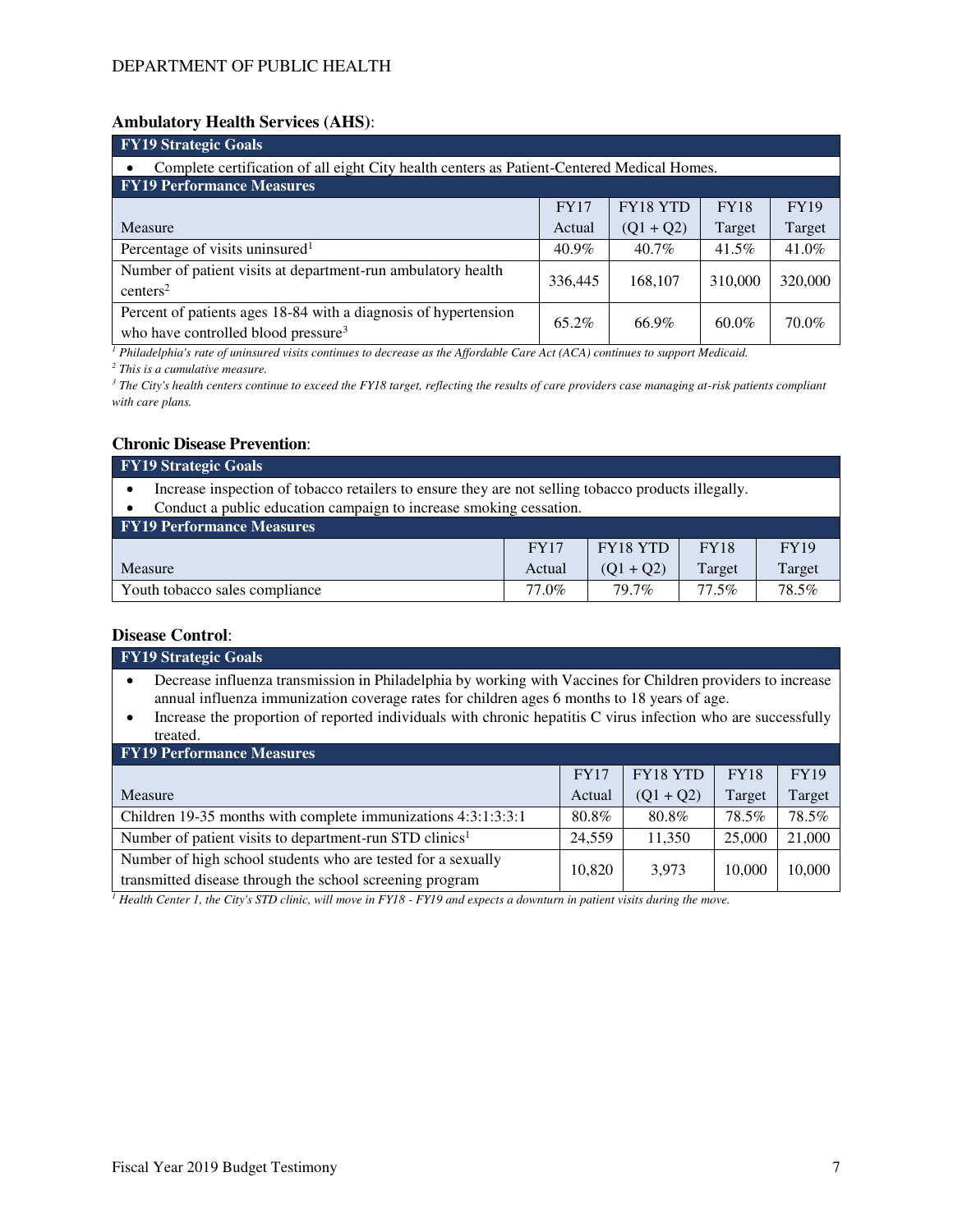#### **Ambulatory Health Services (AHS)**:

| <b>FY19 Strategic Goals</b>                                                                                        |             |             |             |             |  |  |  |
|--------------------------------------------------------------------------------------------------------------------|-------------|-------------|-------------|-------------|--|--|--|
| Complete certification of all eight City health centers as Patient-Centered Medical Homes.                         |             |             |             |             |  |  |  |
| <b>FY19 Performance Measures</b>                                                                                   |             |             |             |             |  |  |  |
|                                                                                                                    | <b>FY17</b> | FY18 YTD    | <b>FY18</b> | <b>FY19</b> |  |  |  |
| Measure                                                                                                            | Actual      | $(Q1 + Q2)$ | Target      | Target      |  |  |  |
| Percentage of visits uninsured <sup>1</sup>                                                                        | $40.9\%$    | $40.7\%$    | $41.5\%$    | 41.0%       |  |  |  |
| Number of patient visits at department-run ambulatory health<br>centers <sup>2</sup>                               | 336,445     | 168,107     | 310,000     | 320,000     |  |  |  |
| Percent of patients ages 18-84 with a diagnosis of hypertension<br>who have controlled blood pressure <sup>3</sup> | 65.2%       | 66.9%       | $60.0\%$    | 70.0%       |  |  |  |

<sup>1</sup> Philadelphia's rate of uninsured visits continues to decrease as the Affordable Care Act (ACA) continues to support Medicaid.

*2 This is a cumulative measure.* 

<sup>3</sup> The City's health centers continue to exceed the FY18 target, reflecting the results of care providers case managing at-risk patients compliant *with care plans.*

#### **Chronic Disease Prevention**:

| <b>FY19 Strategic Goals</b>                                                                                                                                               |        |             |             |             |  |  |  |
|---------------------------------------------------------------------------------------------------------------------------------------------------------------------------|--------|-------------|-------------|-------------|--|--|--|
| Increase inspection of tobacco retailers to ensure they are not selling tobacco products illegally.<br>Conduct a public education campaign to increase smoking cessation. |        |             |             |             |  |  |  |
| <b>FY19 Performance Measures</b>                                                                                                                                          |        |             |             |             |  |  |  |
|                                                                                                                                                                           | FY17   | FY18 YTD    | <b>FY18</b> | <b>FY19</b> |  |  |  |
| Measure                                                                                                                                                                   | Actual | $(Q1 + Q2)$ | Target      | Target      |  |  |  |
| Youth tobacco sales compliance                                                                                                                                            | 77.0%  | 79.7%       | $77.5\%$    | 78.5%       |  |  |  |

#### **Disease Control**:

| глясаяс сони он                                                                                                                                                                                            |             |             |             |             |  |  |  |
|------------------------------------------------------------------------------------------------------------------------------------------------------------------------------------------------------------|-------------|-------------|-------------|-------------|--|--|--|
| <b>FY19 Strategic Goals</b>                                                                                                                                                                                |             |             |             |             |  |  |  |
| Decrease influenza transmission in Philadelphia by working with Vaccines for Children providers to increase<br>annual influenza immunization coverage rates for children ages 6 months to 18 years of age. |             |             |             |             |  |  |  |
| Increase the proportion of reported individuals with chronic hepatitis C virus infection who are successfully<br>$\bullet$                                                                                 |             |             |             |             |  |  |  |
| treated.                                                                                                                                                                                                   |             |             |             |             |  |  |  |
| <b>FY19 Performance Measures</b>                                                                                                                                                                           |             |             |             |             |  |  |  |
|                                                                                                                                                                                                            | <b>FY17</b> | FY18 YTD    | <b>FY18</b> | <b>FY19</b> |  |  |  |
| Measure                                                                                                                                                                                                    | Actual      | $(Q1 + Q2)$ | Target      | Target      |  |  |  |
| Children 19-35 months with complete immunizations 4:3:1:3:3:1                                                                                                                                              | 80.8%       | 80.8%       | 78.5%       | 78.5%       |  |  |  |
| Number of patient visits to department-run STD clinics <sup>1</sup>                                                                                                                                        | 24,559      | 11.350      | 25,000      | 21,000      |  |  |  |
| Number of high school students who are tested for a sexually<br>transmitted disease through the school screening program                                                                                   | 10,820      | 3,973       | 10,000      | 10,000      |  |  |  |

<sup>1</sup> Health Center 1, the City's STD clinic, will move in FY18 - FY19 and expects a downturn in patient visits during the move.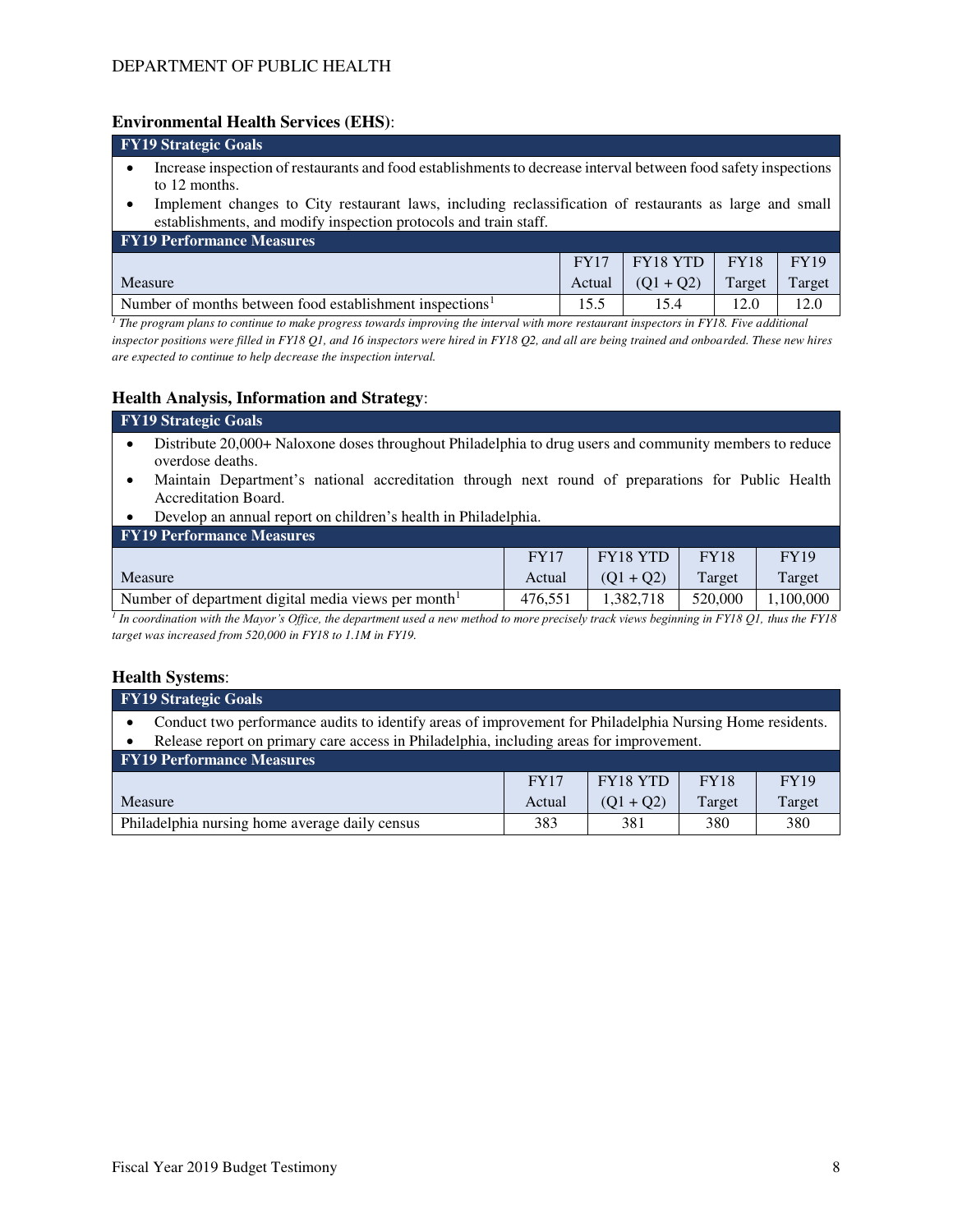#### **Environmental Health Services (EHS)**:

| <b>FY19 Strategic Goals</b>                                                                                                                                                                                                                 |      |      |      |      |  |  |  |  |
|---------------------------------------------------------------------------------------------------------------------------------------------------------------------------------------------------------------------------------------------|------|------|------|------|--|--|--|--|
| Increase inspection of restaurants and food establishments to decrease interval between food safety inspections<br>to 12 months.<br>Implement changes to City restaurant laws, including reclassification of restaurants as large and small |      |      |      |      |  |  |  |  |
| establishments, and modify inspection protocols and train staff.                                                                                                                                                                            |      |      |      |      |  |  |  |  |
| <b>FY19 Performance Measures</b>                                                                                                                                                                                                            |      |      |      |      |  |  |  |  |
| <b>FY18 YTD</b><br><b>FY18</b><br><b>FY19</b><br><b>FY17</b>                                                                                                                                                                                |      |      |      |      |  |  |  |  |
| Target<br>Target<br>Measure<br>$(Q1 + Q2)$<br>Actual                                                                                                                                                                                        |      |      |      |      |  |  |  |  |
| Number of months between food establishment inspections <sup>1</sup>                                                                                                                                                                        | 15.5 | 15.4 | 12.0 | 12.0 |  |  |  |  |

<sup>1</sup> The program plans to continue to make progress towards improving the interval with more restaurant inspectors in FY18. Five additional *inspector positions were filled in FY18 Q1, and 16 inspectors were hired in FY18 Q2, and all are being trained and onboarded. These new hires are expected to continue to help decrease the inspection interval.*

#### **Health Analysis, Information and Strategy**:

### **FY19 Strategic Goals**

- Distribute 20,000+ Naloxone doses throughout Philadelphia to drug users and community members to reduce overdose deaths.
- Maintain Department's national accreditation through next round of preparations for Public Health Accreditation Board.
- Develop an annual report on children's health in Philadelphia.

| <b>FY19 Performance Measures</b>                   |             |             |             |             |  |  |  |  |  |
|----------------------------------------------------|-------------|-------------|-------------|-------------|--|--|--|--|--|
|                                                    | <b>FY17</b> | FY18 YTD    | <b>FY18</b> | <b>FY19</b> |  |  |  |  |  |
| <b>Measure</b>                                     | Actual      | $(01 + 02)$ | Target      | Target      |  |  |  |  |  |
| Number of department digital media views per month | 476.551     | .382.718    | 520,000     | .100.000    |  |  |  |  |  |

*1 In coordination with the Mayor's Office, the department used a new method to more precisely track views beginning in FY18 Q1, thus the FY18 target was increased from 520,000 in FY18 to 1.1M in FY19.*

#### **Health Systems**:

| <b>FY19 Strategic Goals</b>                                                                              |             |          |             |             |  |  |  |  |
|----------------------------------------------------------------------------------------------------------|-------------|----------|-------------|-------------|--|--|--|--|
| Conduct two performance audits to identify areas of improvement for Philadelphia Nursing Home residents. |             |          |             |             |  |  |  |  |
| Release report on primary care access in Philadelphia, including areas for improvement.                  |             |          |             |             |  |  |  |  |
| <b>FY19 Performance Measures</b>                                                                         |             |          |             |             |  |  |  |  |
|                                                                                                          | <b>FY17</b> | FY18 YTD | <b>FY18</b> | <b>FY19</b> |  |  |  |  |
| $(Q1 + Q2)$<br>Target<br>Target<br>Measure<br>Actual                                                     |             |          |             |             |  |  |  |  |
| Philadelphia nursing home average daily census                                                           | 383         | 381      | 380         | 380         |  |  |  |  |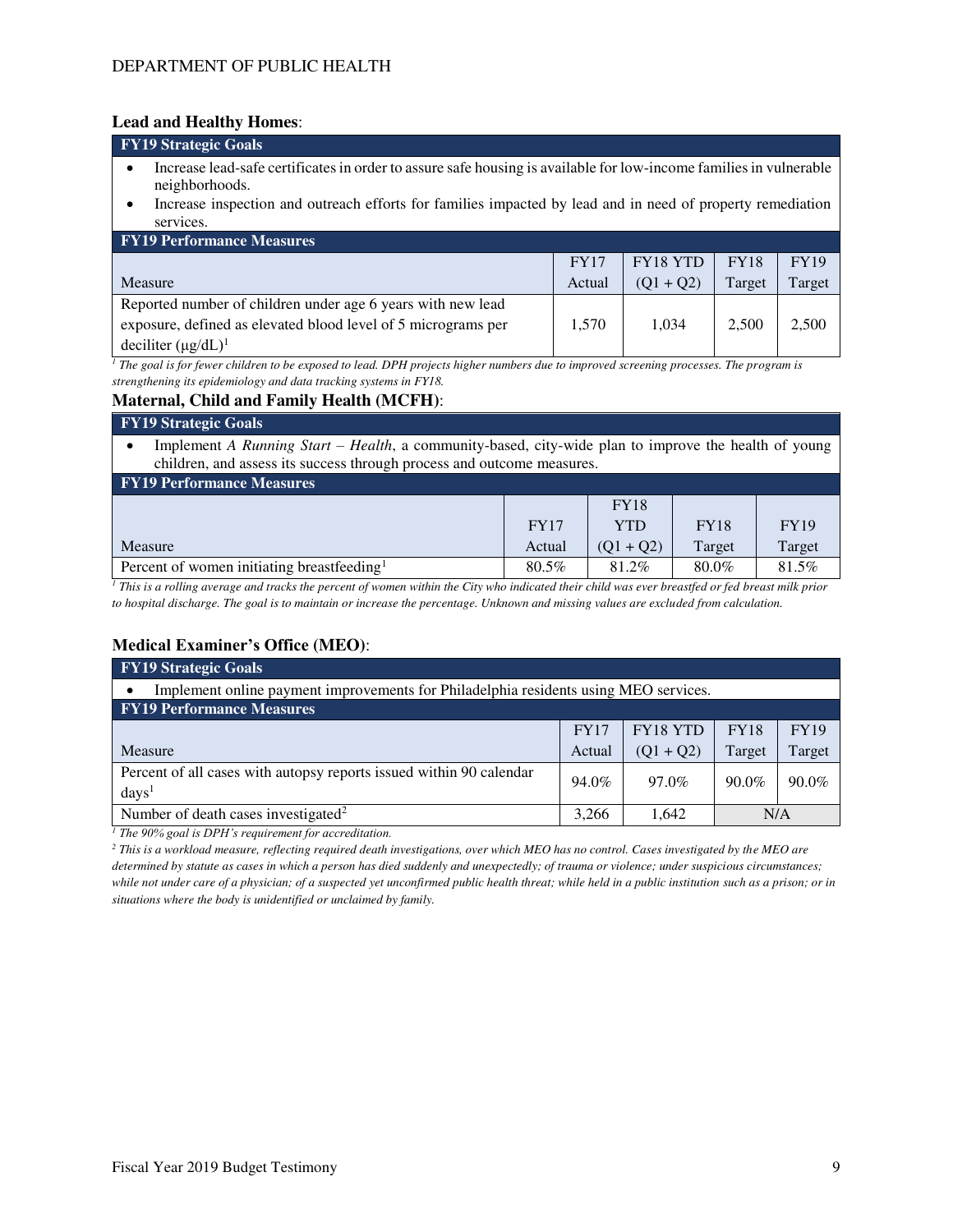# **Lead and Healthy Homes**:

| Licau and Heann's Homes.                                                                                                             |             |             |             |             |  |  |  |  |
|--------------------------------------------------------------------------------------------------------------------------------------|-------------|-------------|-------------|-------------|--|--|--|--|
| <b>FY19 Strategic Goals</b>                                                                                                          |             |             |             |             |  |  |  |  |
| Increase lead-safe certificates in order to assure safe housing is available for low-income families in vulnerable<br>neighborhoods. |             |             |             |             |  |  |  |  |
| Increase inspection and outreach efforts for families impacted by lead and in need of property remediation<br>$\bullet$<br>services. |             |             |             |             |  |  |  |  |
| <b>FY19 Performance Measures</b>                                                                                                     |             |             |             |             |  |  |  |  |
|                                                                                                                                      | <b>FY17</b> | FY18 YTD    | <b>FY18</b> | <b>FY19</b> |  |  |  |  |
| Measure                                                                                                                              | Actual      | $(Q1 + Q2)$ | Target      | Target      |  |  |  |  |
| Reported number of children under age 6 years with new lead                                                                          |             |             |             |             |  |  |  |  |
| exposure, defined as elevated blood level of 5 micrograms per                                                                        | 1,570       | 1.034       | 2,500       | 2,500       |  |  |  |  |

*1 The goal is for fewer children to be exposed to lead. DPH projects higher numbers due to improved screening processes. The program is strengthening its epidemiology and data tracking systems in FY18.*

### **Maternal, Child and Family Health (MCFH)**:

#### **FY19 Strategic Goals**

deciliter  $(\mu g/dL)^1$ 

• Implement *A Running Start – Health*, a community-based, city-wide plan to improve the health of young children, and assess its success through process and outcome measures.

| <b>FY19 Performance Measures</b> |             |             |             |  |  |  |  |  |  |
|----------------------------------|-------------|-------------|-------------|--|--|--|--|--|--|
|                                  | <b>FY18</b> |             |             |  |  |  |  |  |  |
| <b>FY17</b>                      | YTD         | <b>FY18</b> | <b>FY19</b> |  |  |  |  |  |  |
| Actual                           | $(01 + 02)$ | Target      | Target      |  |  |  |  |  |  |
| 80.5%                            | 81.2%       | 80.0%       | 81.5%       |  |  |  |  |  |  |
|                                  |             |             |             |  |  |  |  |  |  |

<sup>1</sup> This is a rolling average and tracks the percent of women within the City who indicated their child was ever breastfed or fed breast milk prior *to hospital discharge. The goal is to maintain or increase the percentage. Unknown and missing values are excluded from calculation.*

# **Medical Examiner's Office (MEO)**:

| <b>FY19 Strategic Goals</b>                                                              |             |                 |             |             |  |  |  |
|------------------------------------------------------------------------------------------|-------------|-----------------|-------------|-------------|--|--|--|
| Implement online payment improvements for Philadelphia residents using MEO services.     |             |                 |             |             |  |  |  |
| <b>FY19 Performance Measures</b>                                                         |             |                 |             |             |  |  |  |
|                                                                                          | <b>FY17</b> | <b>FY18 YTD</b> | <b>FY18</b> | <b>FY19</b> |  |  |  |
| Measure                                                                                  | Actual      | $(Q1 + Q2)$     | Target      | Target      |  |  |  |
| Percent of all cases with autopsy reports issued within 90 calendar<br>days <sup>1</sup> | 94.0%       | 97.0%           | $90.0\%$    | $90.0\%$    |  |  |  |
| Number of death cases investigated <sup>2</sup>                                          | 3.266       | 1.642           | N/A         |             |  |  |  |

*<sup>1</sup> The 90% goal is DPH's requirement for accreditation.*

*2 This is a workload measure, reflecting required death investigations, over which MEO has no control. Cases investigated by the MEO are determined by statute as cases in which a person has died suddenly and unexpectedly; of trauma or violence; under suspicious circumstances; while not under care of a physician; of a suspected yet unconfirmed public health threat; while held in a public institution such as a prison; or in situations where the body is unidentified or unclaimed by family.*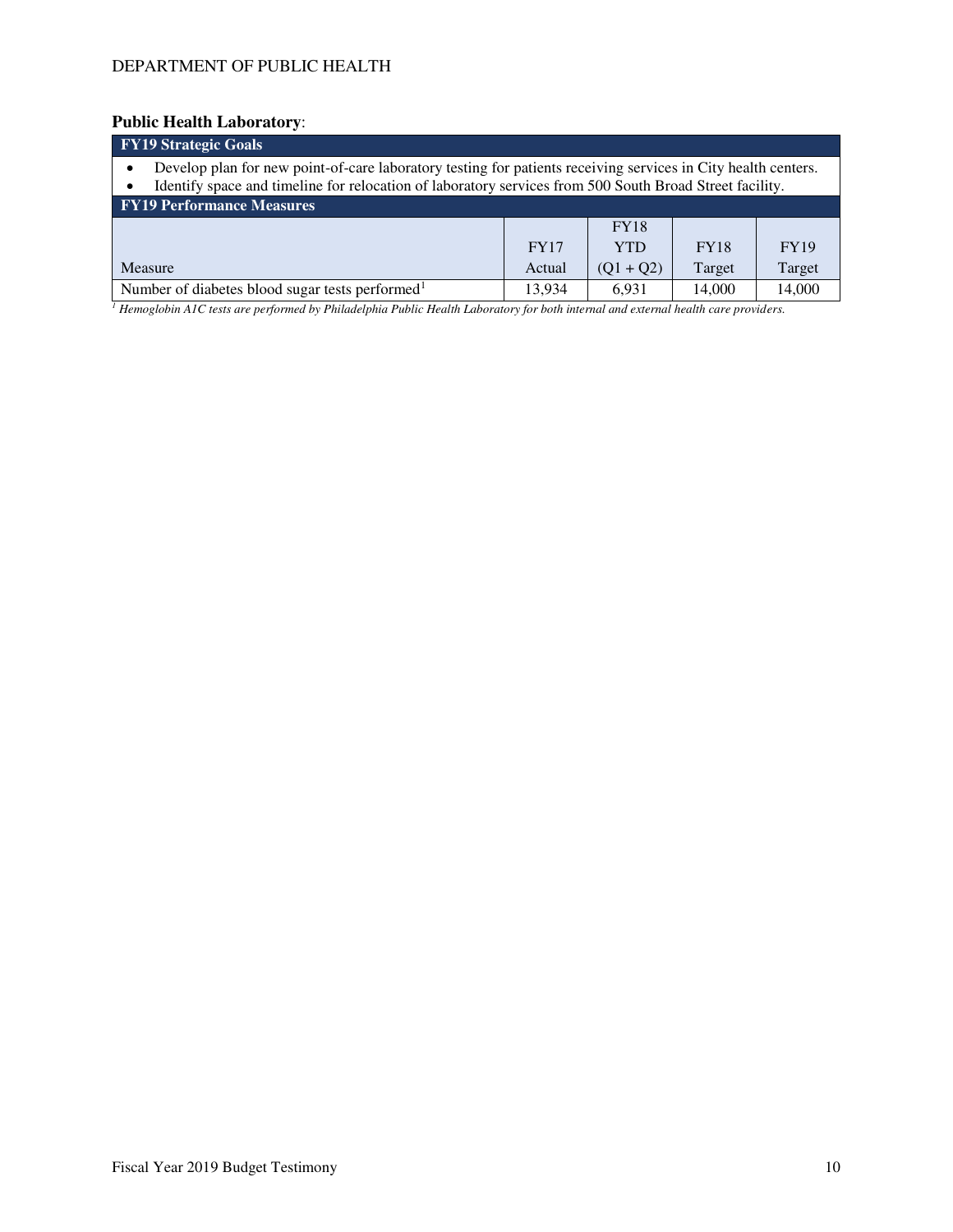## **Public Health Laboratory**:

| <b>FY19 Strategic Goals</b>                                                                                                                                                                                              |             |             |             |             |  |  |  |  |
|--------------------------------------------------------------------------------------------------------------------------------------------------------------------------------------------------------------------------|-------------|-------------|-------------|-------------|--|--|--|--|
| Develop plan for new point-of-care laboratory testing for patients receiving services in City health centers.<br>Identify space and timeline for relocation of laboratory services from 500 South Broad Street facility. |             |             |             |             |  |  |  |  |
| <b>FY19 Performance Measures</b>                                                                                                                                                                                         |             |             |             |             |  |  |  |  |
|                                                                                                                                                                                                                          |             | <b>FY18</b> |             |             |  |  |  |  |
|                                                                                                                                                                                                                          | <b>FY17</b> | <b>YTD</b>  | <b>FY18</b> | <b>FY19</b> |  |  |  |  |
| Target<br>$(Q1 + Q2)$<br>Target<br>Measure<br>Actual                                                                                                                                                                     |             |             |             |             |  |  |  |  |
| Number of diabetes blood sugar tests performed <sup>1</sup>                                                                                                                                                              | 13.934      | 6.931       | 14,000      | 14,000      |  |  |  |  |
|                                                                                                                                                                                                                          |             |             |             |             |  |  |  |  |

*1 Hemoglobin A1C tests are performed by Philadelphia Public Health Laboratory for both internal and external health care providers.*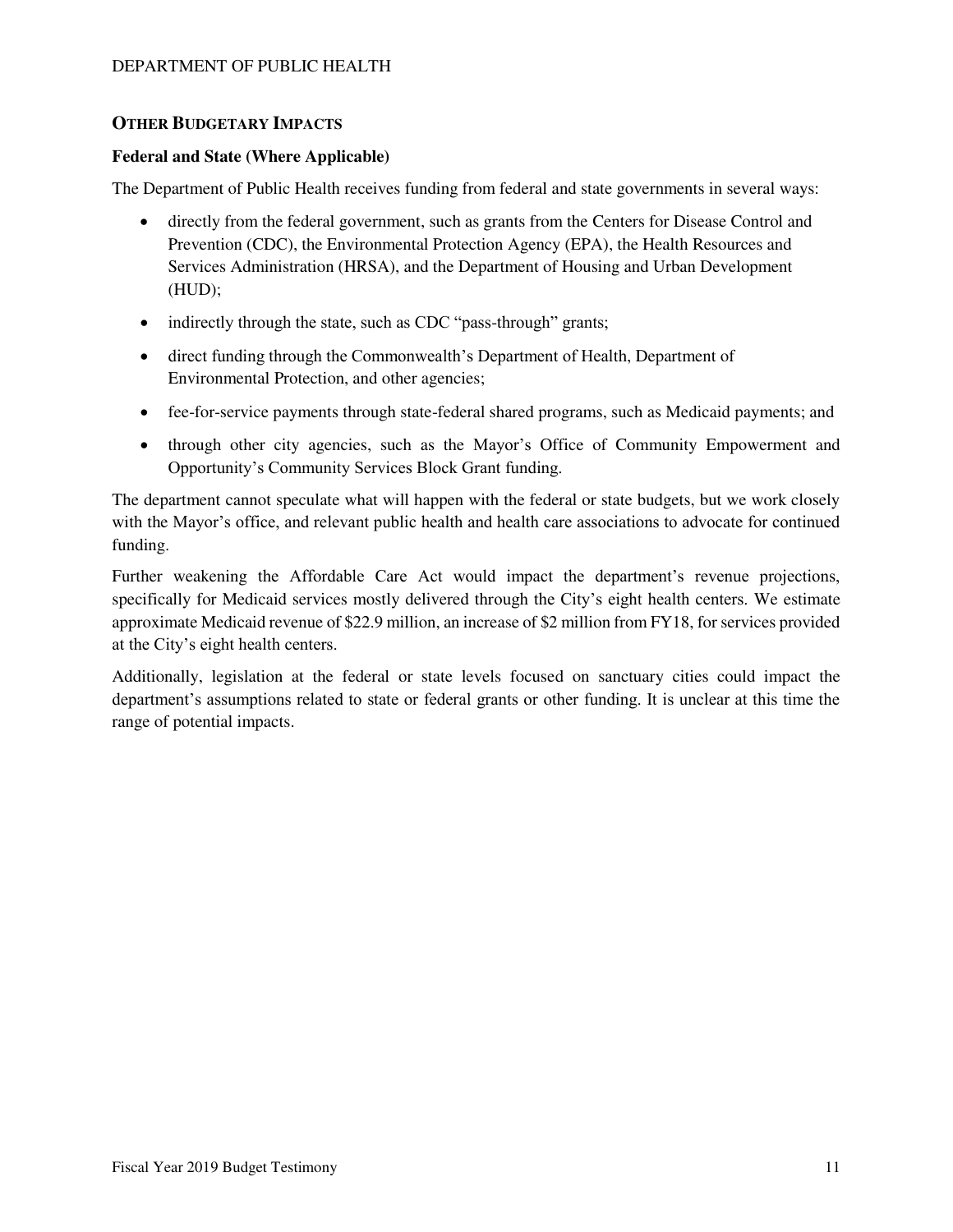# **OTHER BUDGETARY IMPACTS**

### **Federal and State (Where Applicable)**

The Department of Public Health receives funding from federal and state governments in several ways:

- directly from the federal government, such as grants from the Centers for Disease Control and Prevention (CDC), the Environmental Protection Agency (EPA), the Health Resources and Services Administration (HRSA), and the Department of Housing and Urban Development (HUD);
- indirectly through the state, such as CDC "pass-through" grants;
- direct funding through the Commonwealth's Department of Health, Department of Environmental Protection, and other agencies;
- fee-for-service payments through state-federal shared programs, such as Medicaid payments; and
- through other city agencies, such as the Mayor's Office of Community Empowerment and Opportunity's Community Services Block Grant funding.

The department cannot speculate what will happen with the federal or state budgets, but we work closely with the Mayor's office, and relevant public health and health care associations to advocate for continued funding.

Further weakening the Affordable Care Act would impact the department's revenue projections, specifically for Medicaid services mostly delivered through the City's eight health centers. We estimate approximate Medicaid revenue of \$22.9 million, an increase of \$2 million from FY18, for services provided at the City's eight health centers.

Additionally, legislation at the federal or state levels focused on sanctuary cities could impact the department's assumptions related to state or federal grants or other funding. It is unclear at this time the range of potential impacts.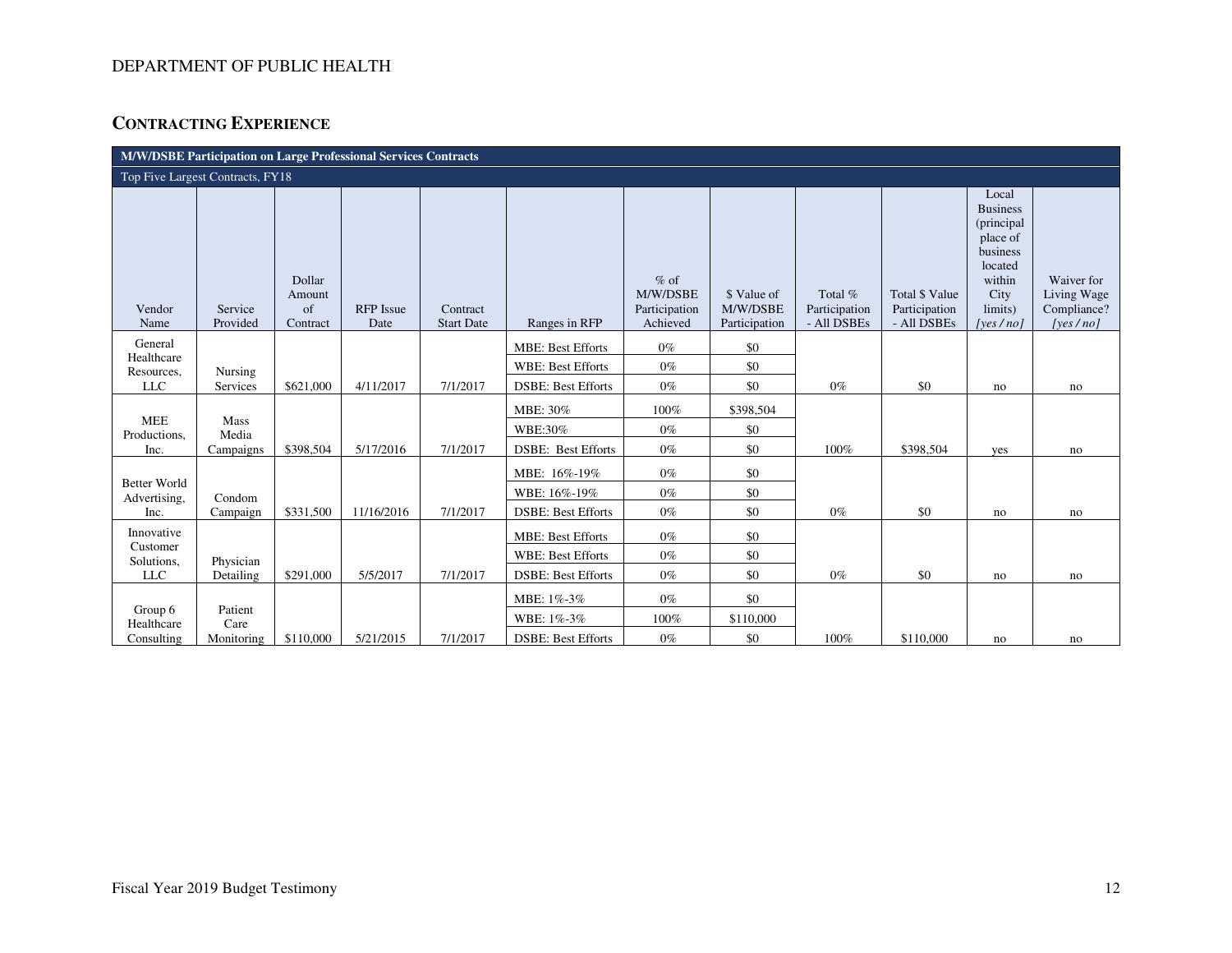# **CONTRACTING EXPERIENCE**

| M/W/DSBE Participation on Large Professional Services Contracts |                     |                                    |                          |                               |                           |                                                 |                                          |                                         |                                                       |                                                                                                                      |                                                      |
|-----------------------------------------------------------------|---------------------|------------------------------------|--------------------------|-------------------------------|---------------------------|-------------------------------------------------|------------------------------------------|-----------------------------------------|-------------------------------------------------------|----------------------------------------------------------------------------------------------------------------------|------------------------------------------------------|
| Top Five Largest Contracts, FY18                                |                     |                                    |                          |                               |                           |                                                 |                                          |                                         |                                                       |                                                                                                                      |                                                      |
| Vendor<br>Name                                                  | Service<br>Provided | Dollar<br>Amount<br>of<br>Contract | <b>RFP</b> Issue<br>Date | Contract<br><b>Start Date</b> | Ranges in RFP             | $%$ of<br>M/W/DSBE<br>Participation<br>Achieved | \$ Value of<br>M/W/DSBE<br>Participation | Total %<br>Participation<br>- All DSBEs | <b>Total \$ Value</b><br>Participation<br>- All DSBEs | Local<br><b>Business</b><br>(principal<br>place of<br>business<br>located<br>within<br>City<br>limits)<br>[yes / no] | Waiver for<br>Living Wage<br>Compliance?<br>[yes/no] |
| General<br>Healthcare                                           |                     |                                    |                          |                               | <b>MBE: Best Efforts</b>  | $0\%$                                           | \$0                                      |                                         |                                                       |                                                                                                                      |                                                      |
| Resources,                                                      | Nursing             |                                    |                          |                               | <b>WBE: Best Efforts</b>  | $0\%$                                           | \$0                                      |                                         |                                                       |                                                                                                                      |                                                      |
| <b>LLC</b>                                                      | Services            | \$621,000                          | 4/11/2017                | 7/1/2017                      | <b>DSBE: Best Efforts</b> | $0\%$                                           | \$0                                      | $0\%$                                   | \$0                                                   | no                                                                                                                   | no                                                   |
| <b>MEE</b>                                                      | Mass                |                                    |                          |                               | MBE: 30%                  | 100%                                            | \$398,504                                |                                         |                                                       |                                                                                                                      |                                                      |
| Productions,                                                    | Media               |                                    |                          |                               | WBE:30%                   | $0\%$                                           | \$0                                      |                                         |                                                       |                                                                                                                      |                                                      |
| Inc.                                                            | Campaigns           | \$398,504                          | 5/17/2016                | 7/1/2017                      | <b>DSBE: Best Efforts</b> | $0\%$                                           | \$0                                      | 100%                                    | \$398,504                                             | yes                                                                                                                  | no                                                   |
| <b>Better World</b>                                             |                     |                                    |                          |                               | MBE: 16%-19%              | $0\%$                                           | \$0                                      |                                         |                                                       |                                                                                                                      |                                                      |
| Advertising,                                                    | Condom              |                                    |                          |                               | WBE: 16%-19%              | $0\%$                                           | \$0                                      |                                         |                                                       |                                                                                                                      |                                                      |
| Inc.                                                            | Campaign            | \$331,500                          | 11/16/2016               | 7/1/2017                      | <b>DSBE: Best Efforts</b> | $0\%$                                           | \$0                                      | $0\%$                                   | \$0                                                   | no                                                                                                                   | no                                                   |
| Innovative<br>Customer                                          |                     |                                    |                          |                               | <b>MBE: Best Efforts</b>  | $0\%$                                           | \$0                                      |                                         |                                                       |                                                                                                                      |                                                      |
| Solutions,                                                      | Physician           |                                    |                          |                               | <b>WBE: Best Efforts</b>  | $0\%$                                           | \$0                                      |                                         |                                                       |                                                                                                                      |                                                      |
| <b>LLC</b>                                                      | Detailing           | \$291,000                          | 5/5/2017                 | 7/1/2017                      | <b>DSBE: Best Efforts</b> | $0\%$                                           | \$0                                      | $0\%$                                   | \$0                                                   | no                                                                                                                   | no                                                   |
|                                                                 |                     |                                    |                          |                               | MBE: 1%-3%                | $0\%$                                           | \$0                                      |                                         |                                                       |                                                                                                                      |                                                      |
| Group 6<br>Healthcare                                           | Patient<br>Care     |                                    |                          |                               | WBE: 1%-3%                | $100\%$                                         | \$110,000                                |                                         |                                                       |                                                                                                                      |                                                      |
| Consulting                                                      | Monitoring          | \$110,000                          | 5/21/2015                | 7/1/2017                      | <b>DSBE: Best Efforts</b> | $0\%$                                           | \$0                                      | 100%                                    | \$110,000                                             | no                                                                                                                   | no                                                   |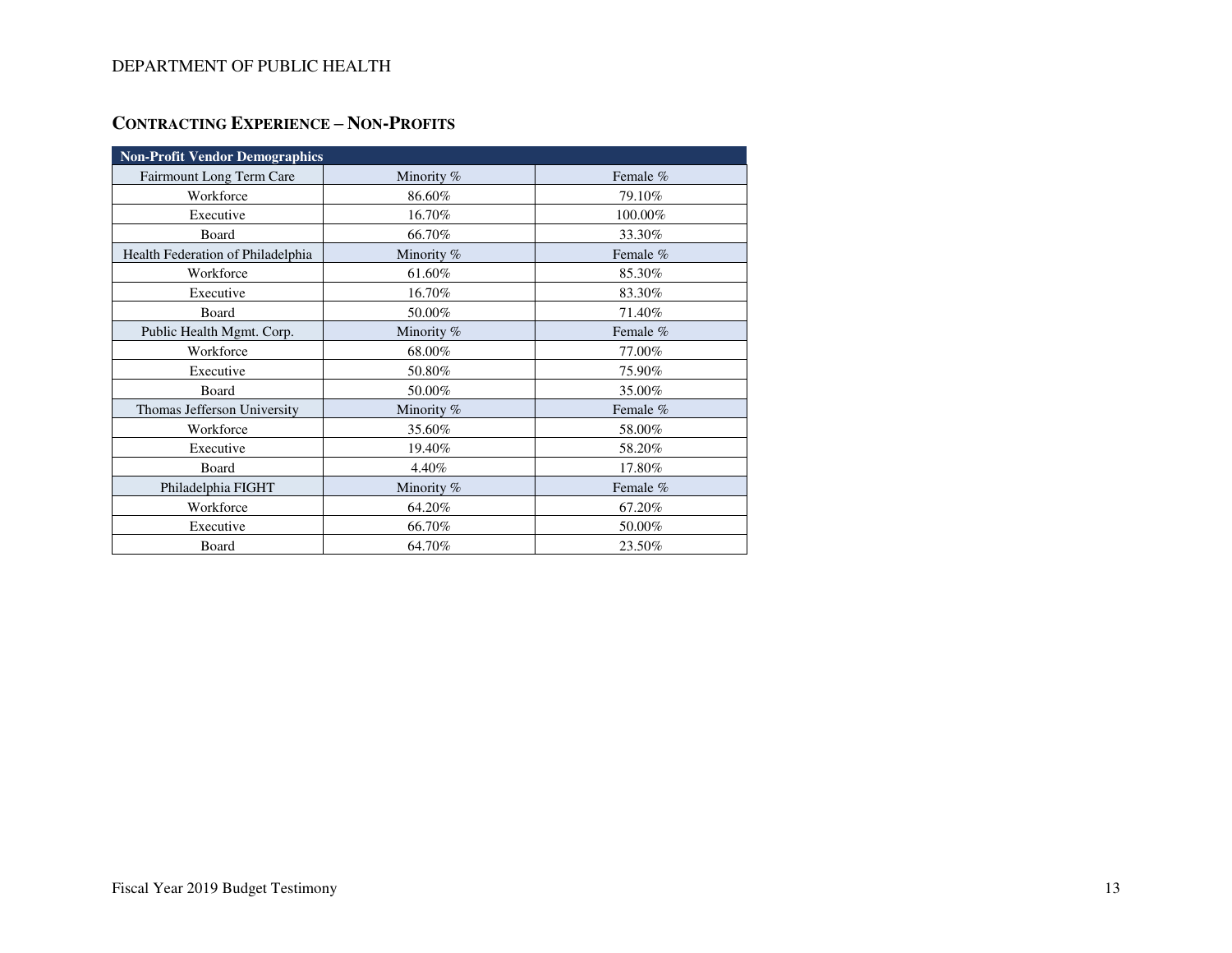# **CONTRACTING EXPERIENCE – NON-PROFITS**

| <b>Non-Profit Vendor Demographics</b> |            |          |  |  |  |  |  |
|---------------------------------------|------------|----------|--|--|--|--|--|
| Fairmount Long Term Care              | Minority % | Female % |  |  |  |  |  |
| Workforce                             | 86.60%     | 79.10%   |  |  |  |  |  |
| Executive                             | 16.70%     | 100.00%  |  |  |  |  |  |
| Board                                 | 66.70%     | 33.30%   |  |  |  |  |  |
| Health Federation of Philadelphia     | Minority % | Female % |  |  |  |  |  |
| Workforce                             | 61.60%     | 85.30%   |  |  |  |  |  |
| Executive                             | 16.70%     | 83.30%   |  |  |  |  |  |
| Board                                 | 50.00%     | 71.40%   |  |  |  |  |  |
| Public Health Mgmt. Corp.             | Minority % | Female % |  |  |  |  |  |
| Workforce                             | 68.00%     | 77.00%   |  |  |  |  |  |
| Executive                             | 50.80%     | 75.90%   |  |  |  |  |  |
| Board                                 | 50.00%     | 35.00%   |  |  |  |  |  |
| Thomas Jefferson University           | Minority % | Female % |  |  |  |  |  |
| Workforce                             | 35.60%     | 58.00%   |  |  |  |  |  |
| Executive                             | 19.40%     | 58.20%   |  |  |  |  |  |
| Board                                 | 4.40%      | 17.80%   |  |  |  |  |  |
| Philadelphia FIGHT                    | Minority % | Female % |  |  |  |  |  |
| Workforce                             | 64.20%     | 67.20%   |  |  |  |  |  |
| Executive                             | 66.70%     | 50.00%   |  |  |  |  |  |
| Board                                 | 64.70%     | 23.50%   |  |  |  |  |  |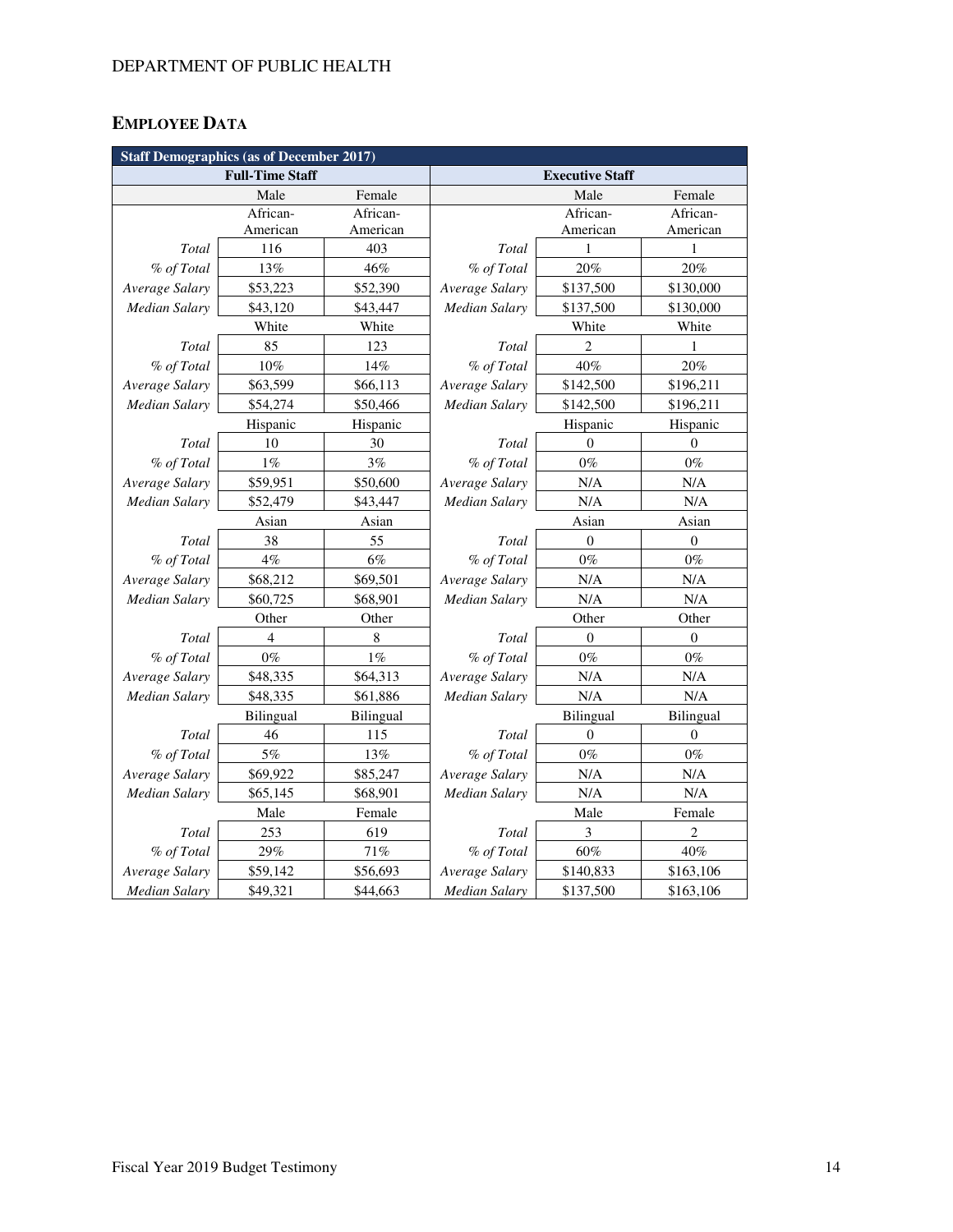# **EMPLOYEE DATA**

| <b>Staff Demographics (as of December 2017)</b> |                        |           |                      |                        |                  |  |  |  |
|-------------------------------------------------|------------------------|-----------|----------------------|------------------------|------------------|--|--|--|
|                                                 | <b>Full-Time Staff</b> |           |                      | <b>Executive Staff</b> |                  |  |  |  |
|                                                 | Male                   | Female    |                      | Male                   | Female           |  |  |  |
|                                                 | African-               | African-  |                      | African-               | African-         |  |  |  |
|                                                 | American               | American  |                      | American               | American         |  |  |  |
| Total                                           | 116                    | 403       | Total                | 1                      | 1                |  |  |  |
| % of Total                                      | 13%                    | 46%       | % of Total           | 20%                    | 20%              |  |  |  |
| Average Salary                                  | \$53,223               | \$52,390  | Average Salary       | \$137,500              | \$130,000        |  |  |  |
| <b>Median Salary</b>                            | \$43,120               | \$43,447  | Median Salary        | \$137,500              | \$130,000        |  |  |  |
|                                                 | White                  | White     |                      | White                  | White            |  |  |  |
| Total                                           | 85                     | 123       | Total                | $\overline{2}$         | 1                |  |  |  |
| % of Total                                      | 10%                    | 14%       | % of Total           | 40%                    | 20%              |  |  |  |
| Average Salary                                  | \$63,599               | \$66,113  | Average Salary       | \$142,500              | \$196,211        |  |  |  |
| <b>Median Salary</b>                            | \$54,274               | \$50,466  | Median Salary        | \$142,500              | \$196,211        |  |  |  |
|                                                 | Hispanic               | Hispanic  |                      | Hispanic               | Hispanic         |  |  |  |
| Total                                           | 10                     | 30        | Total                | $\theta$               | $\theta$         |  |  |  |
| % of Total                                      | $1\%$                  | 3%        | % of Total           | $0\%$                  | $0\%$            |  |  |  |
| Average Salary                                  | \$59,951               | \$50,600  | Average Salary       | N/A                    | $\rm N/A$        |  |  |  |
| <b>Median Salary</b>                            | \$52,479               | \$43,447  | <b>Median Salary</b> | N/A                    | N/A              |  |  |  |
|                                                 | Asian                  | Asian     | Asian                |                        | Asian            |  |  |  |
| Total                                           | 38                     | 55        | Total                | $\boldsymbol{0}$       | $\boldsymbol{0}$ |  |  |  |
| % of Total                                      | 4%                     | $6\%$     | % of Total           | $0\%$                  | $0\%$            |  |  |  |
| Average Salary                                  | \$68,212               | \$69,501  | Average Salary       | N/A                    | N/A              |  |  |  |
| <b>Median Salary</b>                            | \$60,725               | \$68,901  | <b>Median Salary</b> | N/A                    | N/A              |  |  |  |
|                                                 | Other                  | Other     |                      | Other                  | Other            |  |  |  |
| Total                                           | $\overline{4}$         | 8         | Total                | $\mathbf{0}$           | $\mathbf{0}$     |  |  |  |
| % of Total                                      | $0\%$                  | $1\%$     | % of Total           | $0\%$                  | $0\%$            |  |  |  |
| Average Salary                                  | \$48,335               | \$64,313  | Average Salary       | N/A                    | N/A              |  |  |  |
| <b>Median Salary</b>                            | \$48,335               | \$61,886  | Median Salary        | N/A                    | N/A              |  |  |  |
|                                                 | <b>Bilingual</b>       | Bilingual |                      | Bilingual              | Bilingual        |  |  |  |
| Total                                           | 46                     | 115       | Total                | $\theta$               | $\mathbf{0}$     |  |  |  |
| % of Total                                      | $5\%$                  | 13%       | % of Total           | $0\%$                  | $0\%$            |  |  |  |
| Average Salary                                  | \$69,922               | \$85,247  | Average Salary       | N/A                    | N/A              |  |  |  |
| Median Salary                                   | \$65,145               | \$68,901  | Median Salary        | N/A                    | N/A              |  |  |  |
|                                                 | Male                   | Female    |                      | Male                   | Female           |  |  |  |
| Total                                           | 253                    | 619       | Total                | 3                      | $\overline{c}$   |  |  |  |
| % of Total                                      | 29%                    | 71%       | % of Total           | 60%                    | 40%              |  |  |  |
| Average Salary                                  | \$59,142               | \$56,693  | Average Salary       | \$140,833              | \$163,106        |  |  |  |
| <b>Median Salary</b>                            | \$49,321               | \$44,663  | <b>Median Salary</b> | \$137,500              | \$163,106        |  |  |  |